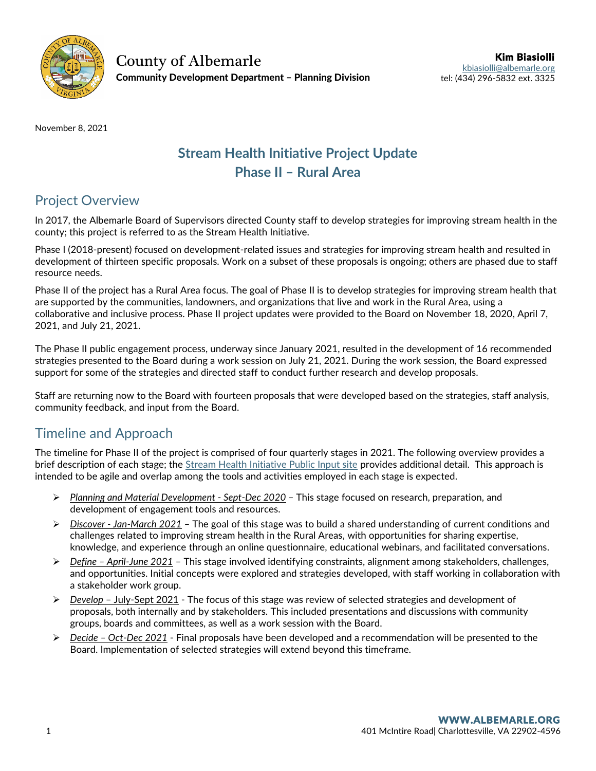

County of Albemarle Community Development Department – Planning Division

November 8, 2021

# **Stream Health Initiative Project Update Phase II – Rural Area**

## Project Overview

In 2017, the Albemarle Board of Supervisors directed County staff to develop strategies for improving stream health in the county; this project is referred to as the Stream Health Initiative.

Phase I (2018-present) focused on development-related issues and strategies for improving stream health and resulted in development of thirteen specific proposals. Work on a subset of these proposals is ongoing; others are phased due to staff resource needs.

Phase II of the project has a Rural Area focus. The goal of Phase II is to develop strategies for improving stream health that are supported by the communities, landowners, and organizations that live and work in the Rural Area, using a collaborative and inclusive process. Phase II project updates were provided to the Board on November 18, 2020, April 7, 2021, and July 21, 2021.

The Phase II public engagement process, underway since January 2021, resulted in the development of 16 recommended strategies presented to the Board during a work session on July 21, 2021. During the work session, the Board expressed support for some of the strategies and directed staff to conduct further research and develop proposals.

Staff are returning now to the Board with fourteen proposals that were developed based on the strategies, staff analysis, community feedback, and input from the Board.

### Timeline and Approach

The timeline for Phase II of the project is comprised of four quarterly stages in 2021. The following overview provides a brief description of each stage; the [Stream Health Initiative Public Input site](https://publicinput.com/streamhealth) provides additional detail. This approach is intended to be agile and overlap among the tools and activities employed in each stage is expected.

- ➢ *Planning and Material Development - Sept-Dec 2020 –* This stage focused on research, preparation, and development of engagement tools and resources.
- ➢ *Discover - Jan-March 2021* The goal of this stage was to build a shared understanding of current conditions and challenges related to improving stream health in the Rural Areas, with opportunities for sharing expertise, knowledge, and experience through an online questionnaire, educational webinars, and facilitated conversations.
- ➢ *Define – April-June 2021* This stage involved identifying constraints, alignment among stakeholders, challenges, and opportunities. Initial concepts were explored and strategies developed, with staff working in collaboration with a stakeholder work group.
- ➢ *Develop* July-Sept 2021 The focus of this stage was review of selected strategies and development of proposals, both internally and by stakeholders. This included presentations and discussions with community groups, boards and committees, as well as a work session with the Board.
- ➢ *Decide – Oct-Dec 2021* Final proposals have been developed and a recommendation will be presented to the Board. Implementation of selected strategies will extend beyond this timeframe.